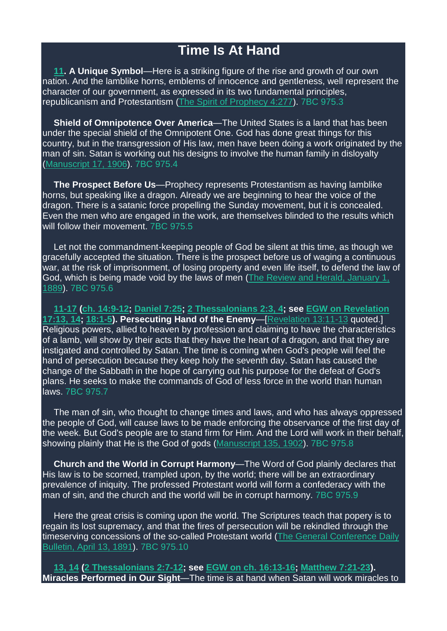## **Time Is At Hand**

**[11.](https://m.egwwritings.org/en/book/1965.63087#63087) A Unique Symbol**—Here is a striking figure of the rise and growth of our own nation. And the lamblike horns, emblems of innocence and gentleness, well represent the character of our government, as expressed in its two fundamental principles, republicanism and Protestantism (The Spirit of [Prophecy](https://m.egwwritings.org/en/book/140.1095#1095) 4:277). 7BC 975.3

**Shield of Omnipotence Over America**—The United States is a land that has been under the special shield of the Omnipotent One. God has done great things for this country, but in the transgression of His law, men have been doing a work originated by the man of sin. Satan is working out his designs to involve the human family in disloyalty [\(Manuscript](https://m.egwwritings.org/en/book/14071.10617001#10617001) 17, 1906). 7BC 975.4

**The Prospect Before Us**—Prophecy represents Protestantism as having lamblike horns, but speaking like a dragon. Already we are beginning to hear the voice of the dragon. There is a satanic force propelling the Sunday movement, but it is concealed. Even the men who are engaged in the work, are themselves blinded to the results which will follow their movement. 7BC 975.5

Let not the commandment-keeping people of God be silent at this time, as though we gracefully accepted the situation. There is the prospect before us of waging a continuous war, at the risk of imprisonment, of losing property and even life itself, to defend the law of God, which is being made void by the laws of men (The Review and Herald, [January](https://m.egwwritings.org/en/book/821.9448#9448) 1, [1889\)](https://m.egwwritings.org/en/book/821.9448#9448). 7BC 975.6

**[11-17](https://m.egwwritings.org/en/book/1965.63087#63087) (ch. [14:9-12;](https://m.egwwritings.org/en/book/1965.63120#63120) [Daniel](https://m.egwwritings.org/en/book/1965.44803#44803) 7:25; 2 [Thessalonians](https://m.egwwritings.org/en/book/1965.60502#60502) 2:3, 4; see EGW on [Revelation](https://m.egwwritings.org/en/book/96.1086#1086) [17:13,](https://m.egwwritings.org/en/book/96.1086#1086) 14; [18:1-5\)](https://m.egwwritings.org/en/book/96.1100#1100). Persecuting Hand of the Enemy**—[\[Revelation](https://m.egwwritings.org/en/book/1965.63087#63087) 13:11-13 quoted.] Religious powers, allied to heaven by profession and claiming to have the characteristics of a lamb, will show by their acts that they have the heart of a dragon, and that they are instigated and controlled by Satan. The time is coming when God's people will feel the hand of persecution because they keep holy the seventh day. Satan has caused the change of the Sabbath in the hope of carrying out his purpose for the defeat of God's plans. He seeks to make the commands of God of less force in the world than human laws. 7BC 975.7

The man of sin, who thought to change times and laws, and who has always oppressed the people of God, will cause laws to be made enforcing the observance of the first day of the week. But God's people are to stand firm for Him. And the Lord will work in their behalf, showing plainly that He is the God of gods [\(Manuscript](https://m.egwwritings.org/en/book/14067.10065001#10065001) 135, 1902). 7BC 975.8

**Church and the World in Corrupt Harmony**—The Word of God plainly declares that His law is to be scorned, trampled upon, by the world; there will be an extraordinary prevalence of iniquity. The professed Protestant world will form a confederacy with the man of sin, and the church and the world will be in corrupt harmony. 7BC 975.9

Here the great crisis is coming upon the world. The Scriptures teach that popery is to regain its lost supremacy, and that the fires of persecution will be rekindled through the timeserving concessions of the so-called Protestant world (The General [Conference](https://m.egwwritings.org/en/book/1660.94#94) Daily [Bulletin,](https://m.egwwritings.org/en/book/1660.94#94) April 13, 1891). 7BC 975.10

**[13,](https://m.egwwritings.org/en/book/1965.63091#63091) 14 (2 [Thessalonians](https://m.egwwritings.org/en/book/1965.60510#60510) 2:7-12; see EGW on ch. [16:13-16;](https://m.egwwritings.org/en/book/96.1073#1073) [Matthew](https://m.egwwritings.org/en/book/94.108#108) 7:21-23). Miracles Performed in Our Sight**—The time is at hand when Satan will work miracles to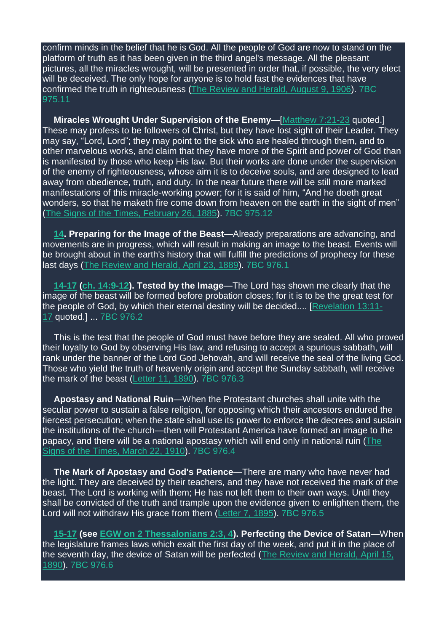confirm minds in the belief that he is God. All the people of God are now to stand on the platform of truth as it has been given in the third angel's message. All the pleasant pictures, all the miracles wrought, will be presented in order that, if possible, the very elect will be deceived. The only hope for anyone is to hold fast the evidences that have confirmed the truth in righteousness (The [Review](https://m.egwwritings.org/en/book/821.27043#27043) and Herald, August 9, 1906). 7BC 975.11

**Miracles Wrought Under Supervision of the Enemy**—[\[Matthew](https://m.egwwritings.org/en/book/1965.47653#47653) 7:21-23 quoted.] These may profess to be followers of Christ, but they have lost sight of their Leader. They may say, "Lord, Lord"; they may point to the sick who are healed through them, and to other marvelous works, and claim that they have more of the Spirit and power of God than is manifested by those who keep His law. But their works are done under the supervision of the enemy of righteousness, whose aim it is to deceive souls, and are designed to lead away from obedience, truth, and duty. In the near future there will be still more marked manifestations of this miracle-working power; for it is said of him, "And he doeth great wonders, so that he maketh fire come down from heaven on the earth in the sight of men" (The Signs of the Times, [February](https://m.egwwritings.org/en/book/820.6596#6596) 26, 1885). 7BC 975.12

**[14.](https://m.egwwritings.org/en/book/1965.63093#63093) Preparing for the Image of the Beast**—Already preparations are advancing, and movements are in progress, which will result in making an image to the beast. Events will be brought about in the earth's history that will fulfill the predictions of prophecy for these last days (The [Review](https://m.egwwritings.org/en/book/821.9642#9642) and Herald, April 23, 1889). 7BC 976.1

**[14-17](https://m.egwwritings.org/en/book/1965.63093#63093) (ch. [14:9-12\)](https://m.egwwritings.org/en/book/1965.63120#63120). Tested by the Image**—The Lord has shown me clearly that the image of the beast will be formed before probation closes; for it is to be the great test for the people of God, by which their eternal destiny will be decided.... [\[Revelation](https://m.egwwritings.org/en/book/1965.63087#63087) 13:11- [17](https://m.egwwritings.org/en/book/1965.63087#63087) quoted.] ... 7BC 976.2

This is the test that the people of God must have before they are sealed. All who proved their loyalty to God by observing His law, and refusing to accept a spurious sabbath, will rank under the banner of the Lord God Jehovah, and will receive the seal of the living God. Those who yield the truth of heavenly origin and accept the Sunday sabbath, will receive the mark of the beast [\(Letter](https://m.egwwritings.org/en/book/14056.5205001#5205001) 11, 1890). 7BC 976.3

**Apostasy and National Ruin**—When the Protestant churches shall unite with the secular power to sustain a false religion, for opposing which their ancestors endured the fiercest persecution; when the state shall use its power to enforce the decrees and sustain the institutions of the church—then will Protestant America have formed an image to the papacy, and there will be a national apostasy which will end only in national ruin [\(The](https://m.egwwritings.org/en/book/820.20943#20943) Signs of the [Times,](https://m.egwwritings.org/en/book/820.20943#20943) March 22, 1910). 7BC 976.4

**The Mark of Apostasy and God's Patience**—There are many who have never had the light. They are deceived by their teachers, and they have not received the mark of the beast. The Lord is working with them; He has not left them to their own ways. Until they shall be convicted of the truth and trample upon the evidence given to enlighten them, the Lord will not withdraw His grace from them [\(Letter](https://m.egwwritings.org/en/book/14060.7367001#7367001) 7, 1895). 7BC 976.5

**[15-17](https://m.egwwritings.org/en/book/1965.63095#63095) (see EGW on 2 [Thessalonians](https://m.egwwritings.org/en/book/96.129#129) 2:3, 4). Perfecting the Device of Satan**—When the legislature frames laws which exalt the first day of the week, and put it in the place of the seventh day, the device of Satan will be perfected (The [Review](https://m.egwwritings.org/en/book/821.10359#10359) and Herald, April 15, [1890\)](https://m.egwwritings.org/en/book/821.10359#10359). 7BC 976.6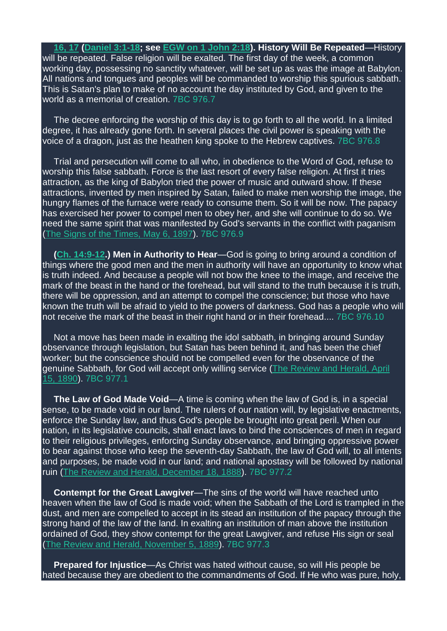**[16,](https://m.egwwritings.org/en/book/1965.63097#63097) 17 [\(Daniel](https://m.egwwritings.org/en/book/1965.44499#44499) 3:1-18; see EGW on 1 [John](https://m.egwwritings.org/en/book/96.665#665) 2:18). History Will Be Repeated**—History will be repeated. False religion will be exalted. The first day of the week, a common working day, possessing no sanctity whatever, will be set up as was the image at Babylon. All nations and tongues and peoples will be commanded to worship this spurious sabbath. This is Satan's plan to make of no account the day instituted by God, and given to the world as a memorial of creation. 7BC 976.7

The decree enforcing the worship of this day is to go forth to all the world. In a limited degree, it has already gone forth. In several places the civil power is speaking with the voice of a dragon, just as the heathen king spoke to the Hebrew captives. 7BC 976.8

Trial and persecution will come to all who, in obedience to the Word of God, refuse to worship this false sabbath. Force is the last resort of every false religion. At first it tries attraction, as the king of Babylon tried the power of music and outward show. If these attractions, invented by men inspired by Satan, failed to make men worship the image, the hungry flames of the furnace were ready to consume them. So it will be now. The papacy has exercised her power to compel men to obey her, and she will continue to do so. We need the same spirit that was manifested by God's servants in the conflict with paganism (The Signs of the [Times,](https://m.egwwritings.org/en/book/820.14218#14218) May 6, 1897). 7BC 976.9

**(Ch. [14:9-12.](https://m.egwwritings.org/en/book/1965.63120#63120)) Men in Authority to Hear**—God is going to bring around a condition of things where the good men and the men in authority will have an opportunity to know what is truth indeed. And because a people will not bow the knee to the image, and receive the mark of the beast in the hand or the forehead, but will stand to the truth because it is truth, there will be oppression, and an attempt to compel the conscience; but those who have known the truth will be afraid to yield to the powers of darkness. God has a people who will not receive the mark of the beast in their right hand or in their forehead.... 7BC 976.10

Not a move has been made in exalting the idol sabbath, in bringing around Sunday observance through legislation, but Satan has been behind it, and has been the chief worker; but the conscience should not be compelled even for the observance of the genuine Sabbath, for God will accept only willing service (The [Review](https://m.egwwritings.org/en/book/821.10359#10359) and Herald, April 15, [1890\)](https://m.egwwritings.org/en/book/821.10359#10359). 7BC 977.1

**The Law of God Made Void**—A time is coming when the law of God is, in a special sense, to be made void in our land. The rulers of our nation will, by legislative enactments, enforce the Sunday law, and thus God's people be brought into great peril. When our nation, in its legislative councils, shall enact laws to bind the consciences of men in regard to their religious privileges, enforcing Sunday observance, and bringing oppressive power to bear against those who keep the seventh-day Sabbath, the law of God will, to all intents and purposes, be made void in our land; and national apostasy will be followed by national ruin (The Review and Herald, [December](https://m.egwwritings.org/en/book/821.9378#9378) 18, 1888). 7BC 977.2

**Contempt for the Great Lawgiver**—The sins of the world will have reached unto heaven when the law of God is made void; when the Sabbath of the Lord is trampled in the dust, and men are compelled to accept in its stead an institution of the papacy through the strong hand of the law of the land. In exalting an institution of man above the institution ordained of God, they show contempt for the great Lawgiver, and refuse His sign or seal (The Review and Herald, [November](https://m.egwwritings.org/en/book/821.10035#10035) 5, 1889). 7BC 977.3

**Prepared for Injustice**—As Christ was hated without cause, so will His people be hated because they are obedient to the commandments of God. If He who was pure, holy,